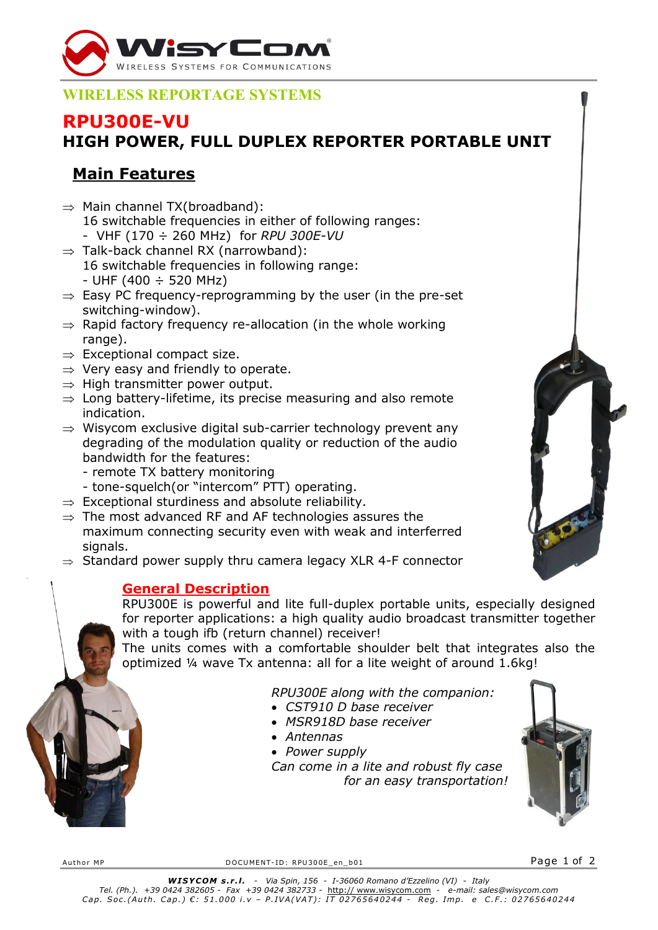

## **WIRELESS REPORTAGE SYSTEMS**

## **RPU300E-VU**

# **HIGH POWER, FULL DUPLEX REPORTER PORTABLE UNIT**

# **Main Features**

- $\Rightarrow$  Main channel TX(broadband): 16 switchable frequencies in either of following ranges: - VHF (170 ÷ 260 MHz) for *RPU 300E-VU*
- $\Rightarrow$  Talk-back channel RX (narrowband):
	- 16 switchable frequencies in following range:  $-$  UHF (400  $\div$  520 MHz)
- $\Rightarrow$  Easy PC frequency-reprogramming by the user (in the pre-set switching-window).
- $\Rightarrow$  Rapid factory frequency re-allocation (in the whole working range).
- $\Rightarrow$  Exceptional compact size.
- $\Rightarrow$  Very easy and friendly to operate.
- $\Rightarrow$  High transmitter power output.
- $\Rightarrow$  Long battery-lifetime, its precise measuring and also remote indication.
- $\Rightarrow$  Wisycom exclusive digital sub-carrier technology prevent any degrading of the modulation quality or reduction of the audio bandwidth for the features:
	- remote TX battery monitoring
	- tone-squelch(or "intercom" PTT) operating.
- $\Rightarrow$  Exceptional sturdiness and absolute reliability.
- $\Rightarrow$  The most advanced RF and AF technologies assures the maximum connecting security even with weak and interferred signals.
- $\Rightarrow$  Standard power supply thru camera legacy XLR 4-F connector

### **General Description**

RPU300E is powerful and lite full-duplex portable units, especially designed for reporter applications: a high quality audio broadcast transmitter together with a tough ifb (return channel) receiver!

The units comes with a comfortable shoulder belt that integrates also the optimized ¼ wave Tx antenna: all for a lite weight of around 1.6kg!

### *RPU300E along with the companion:*

- *CST910 D base receiver*
- *MSR918D base receiver*
- *Antennas*
- *Power supply Can come in a lite and robust fly case for an easy transportation!*